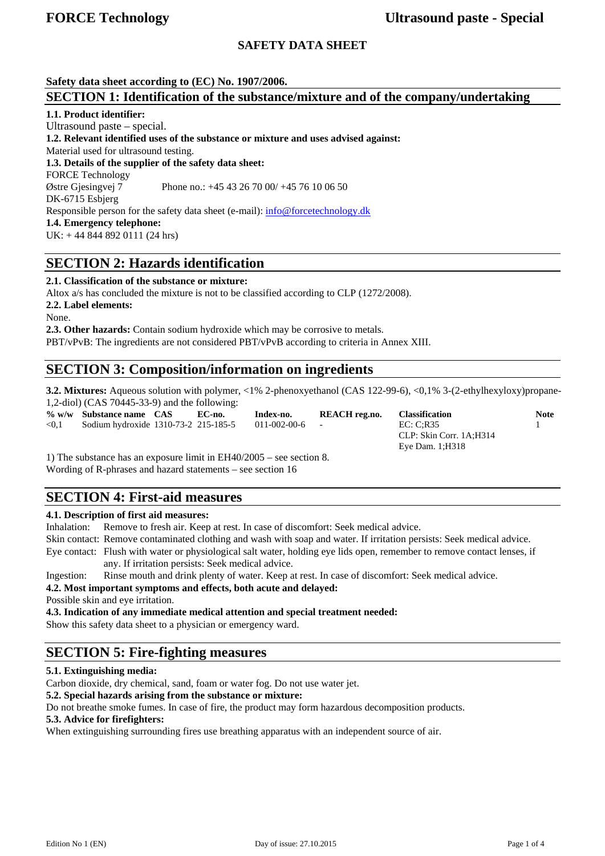## **SAFETY DATA SHEET**

**Safety data sheet according to (EC) No. 1907/2006.** 

## **SECTION 1: Identification of the substance/mixture and of the company/undertaking**

**1.1. Product identifier:** 

Ultrasound paste – special. **1.2. Relevant identified uses of the substance or mixture and uses advised against:**  Material used for ultrasound testing. **1.3. Details of the supplier of the safety data sheet:**  FORCE Technology Østre Gjesingvej 7 Phone no.: +45 43 26 70 00/ +45 76 10 06 50 DK-6715 Esbjerg Responsible person for the safety data sheet (e-mail): info@forcetechnology.dk **1.4. Emergency telephone:**  UK: + 44 844 892 0111 (24 hrs)

# **SECTION 2: Hazards identification**

**2.1. Classification of the substance or mixture:** 

Altox a/s has concluded the mixture is not to be classified according to CLP (1272/2008).

**2.2. Label elements:** 

None.

**2.3. Other hazards:** Contain sodium hydroxide which may be corrosive to metals. PBT/vPvB: The ingredients are not considered PBT/vPvB according to criteria in Annex XIII.

# **SECTION 3: Composition/information on ingredients**

**3.2. Mixtures:** Aqueous solution with polymer, <1% 2-phenoxyethanol (CAS 122-99-6), <0,1% 3-(2-ethylhexyloxy)propane-1,2-diol) (CAS 70445-33-9) and the following:

**% w/w Substance name CAS EC-no. Index-no. REACH reg.no. Classification Note** 

<0,1 Sodium hydroxide 1310-73-2 215-185-5 011-002-00-6 - EC: C;R35 1 CLP: Skin Corr. 1A;H314 Eye Dam. 1;H318

1) The substance has an exposure limit in EH40/2005 – see section 8. Wording of R-phrases and hazard statements – see section 16

# **SECTION 4: First-aid measures**

## **4.1. Description of first aid measures:**

Inhalation: Remove to fresh air. Keep at rest. In case of discomfort: Seek medical advice.

Skin contact: Remove contaminated clothing and wash with soap and water. If irritation persists: Seek medical advice.

Eye contact: Flush with water or physiological salt water, holding eye lids open, remember to remove contact lenses, if any. If irritation persists: Seek medical advice.

Ingestion: Rinse mouth and drink plenty of water. Keep at rest. In case of discomfort: Seek medical advice.

**4.2. Most important symptoms and effects, both acute and delayed:** 

Possible skin and eye irritation.

**4.3. Indication of any immediate medical attention and special treatment needed:**

Show this safety data sheet to a physician or emergency ward.

# **SECTION 5: Fire-fighting measures**

## **5.1. Extinguishing media:**

Carbon dioxide, dry chemical, sand, foam or water fog. Do not use water jet.

**5.2. Special hazards arising from the substance or mixture:** 

Do not breathe smoke fumes. In case of fire, the product may form hazardous decomposition products.

#### **5.3. Advice for firefighters:**

When extinguishing surrounding fires use breathing apparatus with an independent source of air.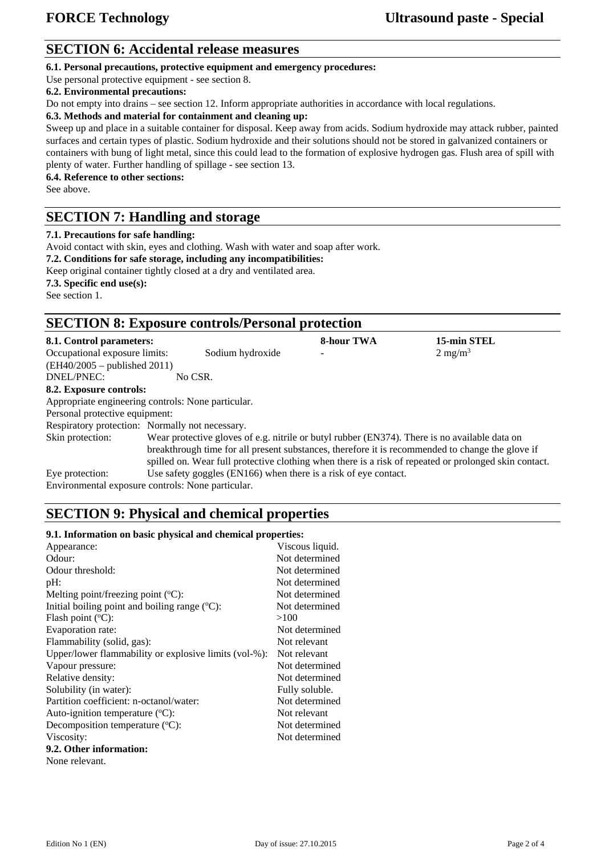# **SECTION 6: Accidental release measures**

**6.1. Personal precautions, protective equipment and emergency procedures:** 

Use personal protective equipment - see section 8.

### **6.2. Environmental precautions:**

Do not empty into drains – see section 12. Inform appropriate authorities in accordance with local regulations.

#### **6.3. Methods and material for containment and cleaning up:**

Sweep up and place in a suitable container for disposal. Keep away from acids. Sodium hydroxide may attack rubber, painted surfaces and certain types of plastic. Sodium hydroxide and their solutions should not be stored in galvanized containers or containers with bung of light metal, since this could lead to the formation of explosive hydrogen gas. Flush area of spill with plenty of water. Further handling of spillage - see section 13.

**6.4. Reference to other sections:** 

See above.

## **SECTION 7: Handling and storage**

#### **7.1. Precautions for safe handling:**

Avoid contact with skin, eyes and clothing. Wash with water and soap after work.

**7.2. Conditions for safe storage, including any incompatibilities:** 

Keep original container tightly closed at a dry and ventilated area. **7.3. Specific end use(s):**

See section 1.

# **SECTION 8: Exposure controls/Personal protection**

| 8.1. Control parameters:                                             |                                                                                                                                                                                                                                                                                                            |                                                                 | <b>8-hour TWA</b>        | 15-min STEL        |  |
|----------------------------------------------------------------------|------------------------------------------------------------------------------------------------------------------------------------------------------------------------------------------------------------------------------------------------------------------------------------------------------------|-----------------------------------------------------------------|--------------------------|--------------------|--|
| Occupational exposure limits:                                        |                                                                                                                                                                                                                                                                                                            | Sodium hydroxide                                                | $\overline{\phantom{0}}$ | $2 \text{ mg/m}^3$ |  |
| $(EH40/2005 - \text{published } 2011)$                               |                                                                                                                                                                                                                                                                                                            |                                                                 |                          |                    |  |
| DNEL/PNEC:                                                           | No CSR.                                                                                                                                                                                                                                                                                                    |                                                                 |                          |                    |  |
| 8.2. Exposure controls:                                              |                                                                                                                                                                                                                                                                                                            |                                                                 |                          |                    |  |
| Appropriate engineering controls: None particular.                   |                                                                                                                                                                                                                                                                                                            |                                                                 |                          |                    |  |
| Personal protective equipment:                                       |                                                                                                                                                                                                                                                                                                            |                                                                 |                          |                    |  |
| Respiratory protection: Normally not necessary.                      |                                                                                                                                                                                                                                                                                                            |                                                                 |                          |                    |  |
| Skin protection:                                                     | Wear protective gloves of e.g. nitrile or butyl rubber (EN374). There is no available data on<br>breakthrough time for all present substances, therefore it is recommended to change the glove if<br>spilled on. Wear full protective clothing when there is a risk of repeated or prolonged skin contact. |                                                                 |                          |                    |  |
| Eye protection:<br>Environmental exposure controls: None particular. |                                                                                                                                                                                                                                                                                                            | Use safety goggles (EN166) when there is a risk of eye contact. |                          |                    |  |

# **SECTION 9: Physical and chemical properties**

#### **9.1. Information on basic physical and chemical properties:**

| Appearance:                                           | Viscous liquid. |
|-------------------------------------------------------|-----------------|
| Odour:                                                | Not determined  |
| Odour threshold:                                      | Not determined  |
| pH:                                                   | Not determined  |
| Melting point/freezing point $({}^{\circ}C)$ :        | Not determined  |
| Initial boiling point and boiling range $(°C)$ :      | Not determined  |
| Flash point $(^{\circ}C)$ :                           | >100            |
| Evaporation rate:                                     | Not determined  |
| Flammability (solid, gas):                            | Not relevant    |
| Upper/lower flammability or explosive limits (vol-%): | Not relevant    |
| Vapour pressure:                                      | Not determined  |
| Relative density:                                     | Not determined  |
| Solubility (in water):                                | Fully soluble.  |
| Partition coefficient: n-octanol/water:               | Not determined  |
| Auto-ignition temperature $({}^{\circ}C)$ :           | Not relevant    |
| Decomposition temperature $(^{\circ}C)$ :             | Not determined  |
| Viscosity:                                            | Not determined  |
| 9.2. Other information:                               |                 |
| None relevant.                                        |                 |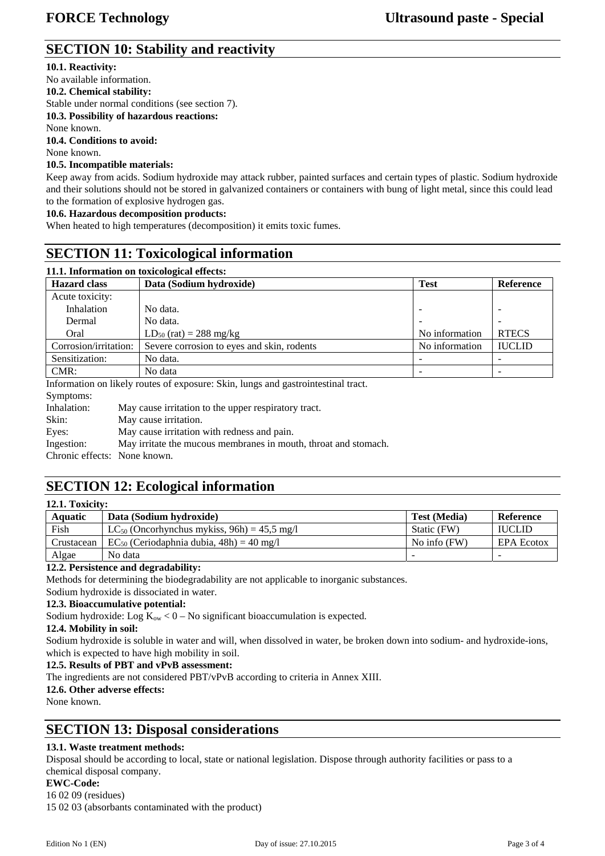# **SECTION 10: Stability and reactivity**

## **10.1. Reactivity:**

No available information. **10.2. Chemical stability:**  Stable under normal conditions (see section 7). **10.3. Possibility of hazardous reactions:**  None known. **10.4. Conditions to avoid:**  None known.

## **10.5. Incompatible materials:**

Keep away from acids. Sodium hydroxide may attack rubber, painted surfaces and certain types of plastic. Sodium hydroxide and their solutions should not be stored in galvanized containers or containers with bung of light metal, since this could lead to the formation of explosive hydrogen gas.

## **10.6. Hazardous decomposition products:**

When heated to high temperatures (decomposition) it emits toxic fumes.

# **SECTION 11: Toxicological information**

| 11.1. Information on toxicological effects:                                       |                                            |                |               |  |  |  |  |
|-----------------------------------------------------------------------------------|--------------------------------------------|----------------|---------------|--|--|--|--|
| <b>Hazard</b> class                                                               | Data (Sodium hydroxide)                    |                | Reference     |  |  |  |  |
| Acute toxicity:                                                                   |                                            |                |               |  |  |  |  |
| Inhalation                                                                        | No data.                                   |                |               |  |  |  |  |
| Dermal                                                                            | No data.                                   |                |               |  |  |  |  |
| Oral                                                                              | $LD_{50}$ (rat) = 288 mg/kg                | No information | <b>RTECS</b>  |  |  |  |  |
| Corrosion/irritation:                                                             | Severe corrosion to eyes and skin, rodents | No information | <b>IUCLID</b> |  |  |  |  |
| Sensitization:                                                                    | No data.                                   |                |               |  |  |  |  |
| CMR:                                                                              | No data                                    |                |               |  |  |  |  |
| Information on likely routes of exposure: Skin, lungs and gastrointestinal tract. |                                            |                |               |  |  |  |  |

Symptoms: Inhalation: May cause irritation to the upper respiratory tract. Skin: May cause irritation. Eyes: May cause irritation with redness and pain. Ingestion: May irritate the mucous membranes in mouth, throat and stomach. Chronic effects: None known.

# **SECTION 12: Ecological information**

| 12.1. Toxicity: |                                                            |                     |                   |  |  |  |
|-----------------|------------------------------------------------------------|---------------------|-------------------|--|--|--|
| Aquatic         | Data (Sodium hydroxide)                                    | <b>Test (Media)</b> | Reference         |  |  |  |
| Fish            | LC <sub>50</sub> (Oncorhynchus mykiss, $96h$ ) = 45.5 mg/l | Static (FW)         | <b>IUCLID</b>     |  |  |  |
| Crustacean      | $EC_{50}$ (Ceriodaphnia dubia, 48h) = 40 mg/l              | No info $(FW)$      | <b>EPA Ecotox</b> |  |  |  |
| Algae           | No data                                                    |                     | -                 |  |  |  |

## **12.2. Persistence and degradability:**

Methods for determining the biodegradability are not applicable to inorganic substances.

Sodium hydroxide is dissociated in water.

### **12.3. Bioaccumulative potential:**

Sodium hydroxide: Log  $K_{ow}$  < 0 – No significant bioaccumulation is expected.

### **12.4. Mobility in soil:**

Sodium hydroxide is soluble in water and will, when dissolved in water, be broken down into sodium- and hydroxide-ions, which is expected to have high mobility in soil.

### **12.5. Results of PBT and vPvB assessment:**

The ingredients are not considered PBT/vPvB according to criteria in Annex XIII.

#### **12.6. Other adverse effects:**

None known.

**12.1. Toxicity:**

# **SECTION 13: Disposal considerations**

## **13.1. Waste treatment methods:**

Disposal should be according to local, state or national legislation. Dispose through authority facilities or pass to a chemical disposal company.

#### **EWC-Code:**

16 02 09 (residues)

15 02 03 (absorbants contaminated with the product)